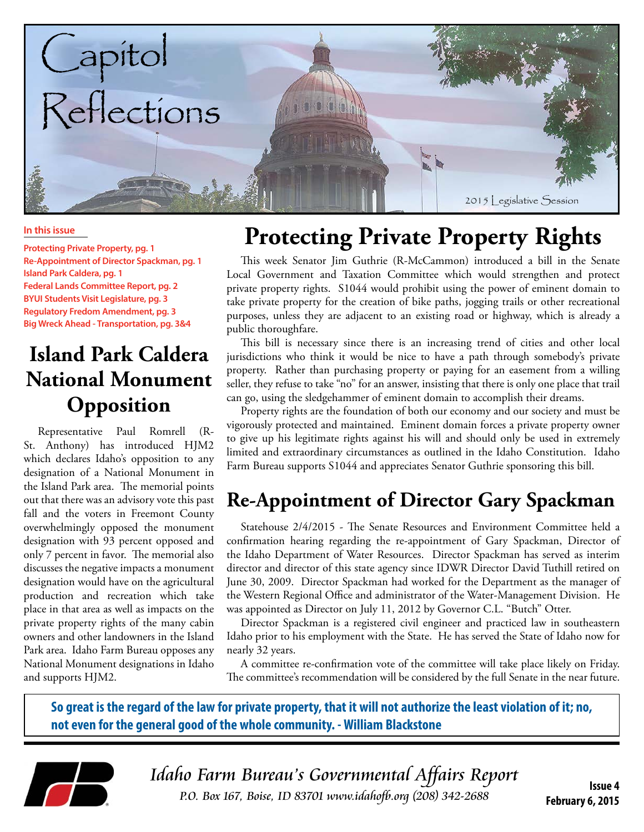

#### **In this issue**

**Protecting Private Property, pg. 1 Re-Appointment of Director Spackman, pg. 1 Island Park Caldera, pg. 1 Federal Lands Committee Report, pg. 2 BYUI Students Visit Legislature, pg. 3 Regulatory Fredom Amendment, pg. 3 Big Wreck Ahead - Transportation, pg. 3&4**

#### **Island Park Caldera National Monument Opposition**

Representative Paul Romrell (R-St. Anthony) has introduced HJM2 which declares Idaho's opposition to any designation of a National Monument in the Island Park area. The memorial points out that there was an advisory vote this past fall and the voters in Freemont County overwhelmingly opposed the monument designation with 93 percent opposed and only 7 percent in favor. The memorial also discusses the negative impacts a monument designation would have on the agricultural production and recreation which take place in that area as well as impacts on the private property rights of the many cabin owners and other landowners in the Island Park area. Idaho Farm Bureau opposes any National Monument designations in Idaho and supports HJM2.

# **Protecting Private Property Rights**

This week Senator Jim Guthrie (R-McCammon) introduced a bill in the Senate Local Government and Taxation Committee which would strengthen and protect private property rights. S1044 would prohibit using the power of eminent domain to take private property for the creation of bike paths, jogging trails or other recreational purposes, unless they are adjacent to an existing road or highway, which is already a public thoroughfare.

This bill is necessary since there is an increasing trend of cities and other local jurisdictions who think it would be nice to have a path through somebody's private property. Rather than purchasing property or paying for an easement from a willing seller, they refuse to take "no" for an answer, insisting that there is only one place that trail can go, using the sledgehammer of eminent domain to accomplish their dreams.

Property rights are the foundation of both our economy and our society and must be vigorously protected and maintained. Eminent domain forces a private property owner to give up his legitimate rights against his will and should only be used in extremely limited and extraordinary circumstances as outlined in the Idaho Constitution. Idaho Farm Bureau supports S1044 and appreciates Senator Guthrie sponsoring this bill.

#### **Re-Appointment of Director Gary Spackman**

Statehouse 2/4/2015 - The Senate Resources and Environment Committee held a confirmation hearing regarding the re-appointment of Gary Spackman, Director of the Idaho Department of Water Resources. Director Spackman has served as interim director and director of this state agency since IDWR Director David Tuthill retired on June 30, 2009. Director Spackman had worked for the Department as the manager of the Western Regional Office and administrator of the Water-Management Division. He was appointed as Director on July 11, 2012 by Governor C.L. "Butch" Otter.

Director Spackman is a registered civil engineer and practiced law in southeastern Idaho prior to his employment with the State. He has served the State of Idaho now for nearly 32 years.

A committee re-confirmation vote of the committee will take place likely on Friday. The committee's recommendation will be considered by the full Senate in the near future.

**So great is the regard of the law for private property, that it will not authorize the least violation of it; no, not even for the general good of the whole community. - William Blackstone**



Idaho Farm Bureau's Governmental Affairs Report **P.O. Box 167, Boise, ID 83701** www.idahofb.org (208) 342-2688

**February 6, 2015**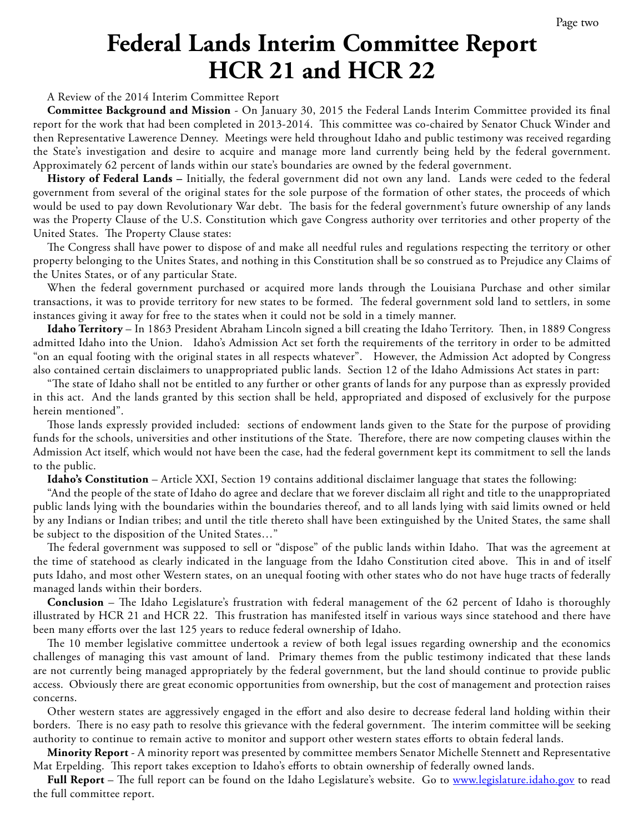## **Federal Lands Interim Committee Report HCR 21 and HCR 22**

A Review of the 2014 Interim Committee Report

**Committee Background and Mission** - On January 30, 2015 the Federal Lands Interim Committee provided its final report for the work that had been completed in 2013-2014. This committee was co-chaired by Senator Chuck Winder and then Representative Lawerence Denney. Meetings were held throughout Idaho and public testimony was received regarding the State's investigation and desire to acquire and manage more land currently being held by the federal government. Approximately 62 percent of lands within our state's boundaries are owned by the federal government.

**History of Federal Lands –** Initially, the federal government did not own any land. Lands were ceded to the federal government from several of the original states for the sole purpose of the formation of other states, the proceeds of which would be used to pay down Revolutionary War debt. The basis for the federal government's future ownership of any lands was the Property Clause of the U.S. Constitution which gave Congress authority over territories and other property of the United States. The Property Clause states:

The Congress shall have power to dispose of and make all needful rules and regulations respecting the territory or other property belonging to the Unites States, and nothing in this Constitution shall be so construed as to Prejudice any Claims of the Unites States, or of any particular State.

When the federal government purchased or acquired more lands through the Louisiana Purchase and other similar transactions, it was to provide territory for new states to be formed. The federal government sold land to settlers, in some instances giving it away for free to the states when it could not be sold in a timely manner.

**Idaho Territory** – In 1863 President Abraham Lincoln signed a bill creating the Idaho Territory. Then, in 1889 Congress admitted Idaho into the Union. Idaho's Admission Act set forth the requirements of the territory in order to be admitted "on an equal footing with the original states in all respects whatever". However, the Admission Act adopted by Congress also contained certain disclaimers to unappropriated public lands. Section 12 of the Idaho Admissions Act states in part:

"The state of Idaho shall not be entitled to any further or other grants of lands for any purpose than as expressly provided in this act. And the lands granted by this section shall be held, appropriated and disposed of exclusively for the purpose herein mentioned".

Those lands expressly provided included: sections of endowment lands given to the State for the purpose of providing funds for the schools, universities and other institutions of the State. Therefore, there are now competing clauses within the Admission Act itself, which would not have been the case, had the federal government kept its commitment to sell the lands to the public.

**Idaho's Constitution** – Article XXI, Section 19 contains additional disclaimer language that states the following:

"And the people of the state of Idaho do agree and declare that we forever disclaim all right and title to the unappropriated public lands lying with the boundaries within the boundaries thereof, and to all lands lying with said limits owned or held by any Indians or Indian tribes; and until the title thereto shall have been extinguished by the United States, the same shall be subject to the disposition of the United States…"

The federal government was supposed to sell or "dispose" of the public lands within Idaho. That was the agreement at the time of statehood as clearly indicated in the language from the Idaho Constitution cited above. This in and of itself puts Idaho, and most other Western states, on an unequal footing with other states who do not have huge tracts of federally managed lands within their borders.

**Conclusion** – The Idaho Legislature's frustration with federal management of the 62 percent of Idaho is thoroughly illustrated by HCR 21 and HCR 22. This frustration has manifested itself in various ways since statehood and there have been many efforts over the last 125 years to reduce federal ownership of Idaho.

The 10 member legislative committee undertook a review of both legal issues regarding ownership and the economics challenges of managing this vast amount of land. Primary themes from the public testimony indicated that these lands are not currently being managed appropriately by the federal government, but the land should continue to provide public access. Obviously there are great economic opportunities from ownership, but the cost of management and protection raises concerns.

Other western states are aggressively engaged in the effort and also desire to decrease federal land holding within their borders. There is no easy path to resolve this grievance with the federal government. The interim committee will be seeking authority to continue to remain active to monitor and support other western states efforts to obtain federal lands.

**Minority Report** - A minority report was presented by committee members Senator Michelle Stennett and Representative Mat Erpelding. This report takes exception to Idaho's efforts to obtain ownership of federally owned lands.

Full Report – The full report can be found on the Idaho Legislature's website. Go to [www.legislature.idaho.gov](http://www.legislature.idaho.gov) to read the full committee report.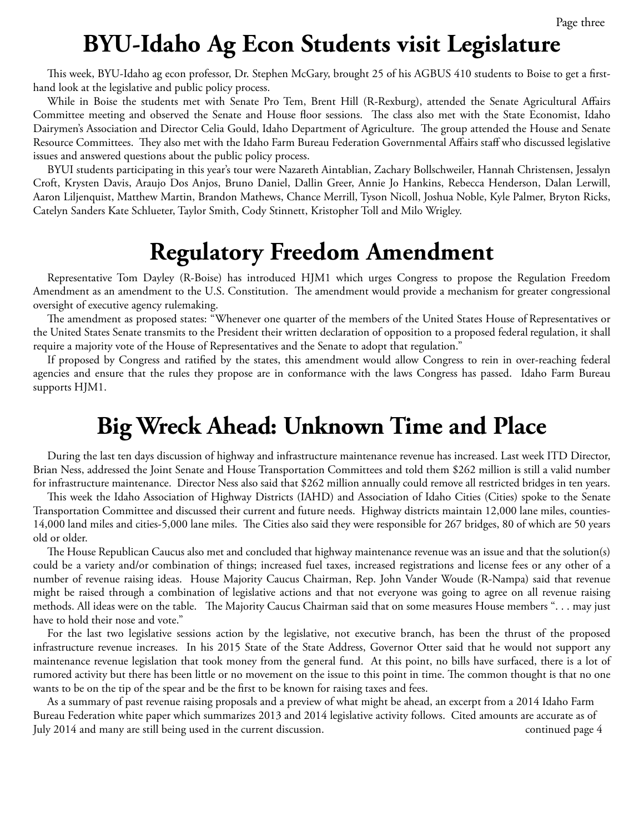### **BYU-Idaho Ag Econ Students visit Legislature**

This week, BYU-Idaho ag econ professor, Dr. Stephen McGary, brought 25 of his AGBUS 410 students to Boise to get a firsthand look at the legislative and public policy process.

While in Boise the students met with Senate Pro Tem, Brent Hill (R-Rexburg), attended the Senate Agricultural Affairs Committee meeting and observed the Senate and House floor sessions. The class also met with the State Economist, Idaho Dairymen's Association and Director Celia Gould, Idaho Department of Agriculture. The group attended the House and Senate Resource Committees. They also met with the Idaho Farm Bureau Federation Governmental Affairs staff who discussed legislative issues and answered questions about the public policy process.

BYUI students participating in this year's tour were Nazareth Aintablian, Zachary Bollschweiler, Hannah Christensen, Jessalyn Croft, Krysten Davis, Araujo Dos Anjos, Bruno Daniel, Dallin Greer, Annie Jo Hankins, Rebecca Henderson, Dalan Lerwill, Aaron Liljenquist, Matthew Martin, Brandon Mathews, Chance Merrill, Tyson Nicoll, Joshua Noble, Kyle Palmer, Bryton Ricks, Catelyn Sanders Kate Schlueter, Taylor Smith, Cody Stinnett, Kristopher Toll and Milo Wrigley.

#### **Regulatory Freedom Amendment**

Representative Tom Dayley (R-Boise) has introduced HJM1 which urges Congress to propose the Regulation Freedom Amendment as an amendment to the U.S. Constitution. The amendment would provide a mechanism for greater congressional oversight of executive agency rulemaking.

The amendment as proposed states: "Whenever one quarter of the members of the United States House of Representatives or the United States Senate transmits to the President their written declaration of opposition to a proposed federal regulation, it shall require a majority vote of the House of Representatives and the Senate to adopt that regulation."

If proposed by Congress and ratified by the states, this amendment would allow Congress to rein in over-reaching federal agencies and ensure that the rules they propose are in conformance with the laws Congress has passed. Idaho Farm Bureau supports HJM1.

### **Big Wreck Ahead: Unknown Time and Place**

During the last ten days discussion of highway and infrastructure maintenance revenue has increased. Last week ITD Director, Brian Ness, addressed the Joint Senate and House Transportation Committees and told them \$262 million is still a valid number for infrastructure maintenance. Director Ness also said that \$262 million annually could remove all restricted bridges in ten years.

This week the Idaho Association of Highway Districts (IAHD) and Association of Idaho Cities (Cities) spoke to the Senate Transportation Committee and discussed their current and future needs. Highway districts maintain 12,000 lane miles, counties-14,000 land miles and cities-5,000 lane miles. The Cities also said they were responsible for 267 bridges, 80 of which are 50 years old or older.

The House Republican Caucus also met and concluded that highway maintenance revenue was an issue and that the solution(s) could be a variety and/or combination of things; increased fuel taxes, increased registrations and license fees or any other of a number of revenue raising ideas. House Majority Caucus Chairman, Rep. John Vander Woude (R-Nampa) said that revenue might be raised through a combination of legislative actions and that not everyone was going to agree on all revenue raising methods. All ideas were on the table. The Majority Caucus Chairman said that on some measures House members ". . . may just have to hold their nose and vote."

For the last two legislative sessions action by the legislative, not executive branch, has been the thrust of the proposed infrastructure revenue increases. In his 2015 State of the State Address, Governor Otter said that he would not support any maintenance revenue legislation that took money from the general fund. At this point, no bills have surfaced, there is a lot of rumored activity but there has been little or no movement on the issue to this point in time. The common thought is that no one wants to be on the tip of the spear and be the first to be known for raising taxes and fees.

As a summary of past revenue raising proposals and a preview of what might be ahead, an excerpt from a 2014 Idaho Farm Bureau Federation white paper which summarizes 2013 and 2014 legislative activity follows. Cited amounts are accurate as of July 2014 and many are still being used in the current discussion. continued page 4